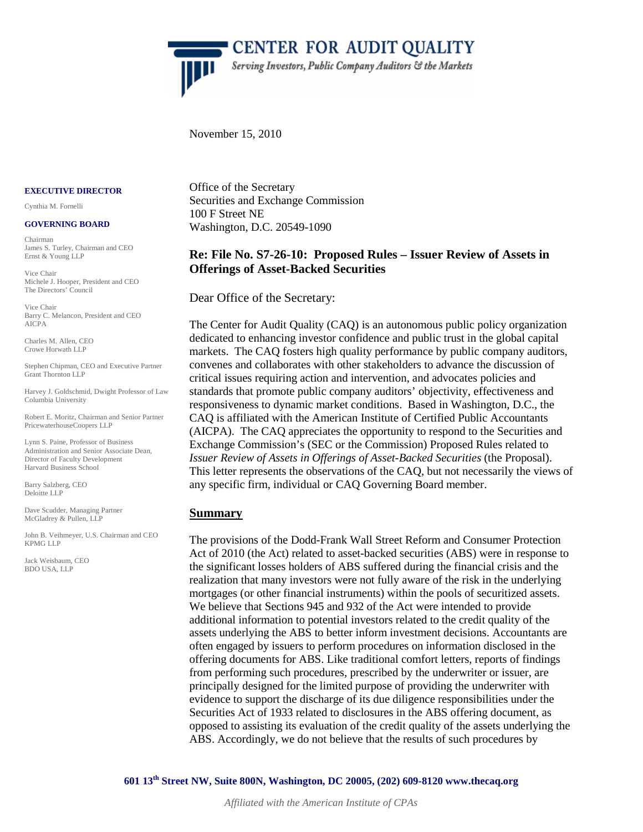

**CENTER FOR AUDIT QUALITY** Serving Investors, Public Company Auditors & the Markets

November 15, 2010

#### **EXECUTIVE DIRECTOR**

Cynthia M. Fornelli

#### **GOVERNING BOARD**

Chairman James S. Turley, Chairman and CEO Ernst & Young LLP

Vice Chair Michele J. Hooper, President and CEO The Directors' Council

Vice Chair Barry C. Melancon, President and CEO AICPA

Charles M. Allen, CEO Crowe Horwath LLP

Stephen Chipman, CEO and Executive Partner Grant Thornton LLP

Harvey J. Goldschmid, Dwight Professor of Law Columbia University

Robert E. Moritz, Chairman and Senior Partner PricewaterhouseCoopers LLP

Lynn S. Paine, Professor of Business Administration and Senior Associate Dean, Director of Faculty Development Harvard Business School

Barry Salzberg, CEO Deloitte LLP

Dave Scudder, Managing Partner McGladrey & Pullen, LLP

John B. Veihmeyer, U.S. Chairman and CEO KPMG LLP

Jack Weisbaum, CEO BDO USA, LLP

Office of the Secretary Securities and Exchange Commission 100 F Street NE Washington, D.C. 20549-1090

# **Re: File No. S7-26-10: Proposed Rules – Issuer Review of Assets in Offerings of Asset-Backed Securities**

Dear Office of the Secretary:

The Center for Audit Quality (CAQ) is an autonomous public policy organization dedicated to enhancing investor confidence and public trust in the global capital markets. The CAQ fosters high quality performance by public company auditors, convenes and collaborates with other stakeholders to advance the discussion of critical issues requiring action and intervention, and advocates policies and standards that promote public company auditors' objectivity, effectiveness and responsiveness to dynamic market conditions. Based in Washington, D.C., the CAQ is affiliated with the American Institute of Certified Public Accountants (AICPA). The CAQ appreciates the opportunity to respond to the Securities and Exchange Commission's (SEC or the Commission) Proposed Rules related to *Issuer Review of Assets in Offerings of Asset-Backed Securities* (the Proposal). This letter represents the observations of the CAQ, but not necessarily the views of any specific firm, individual or CAQ Governing Board member.

#### **Summary**

The provisions of the Dodd-Frank Wall Street Reform and Consumer Protection Act of 2010 (the Act) related to asset-backed securities (ABS) were in response to the significant losses holders of ABS suffered during the financial crisis and the realization that many investors were not fully aware of the risk in the underlying mortgages (or other financial instruments) within the pools of securitized assets. We believe that Sections 945 and 932 of the Act were intended to provide additional information to potential investors related to the credit quality of the assets underlying the ABS to better inform investment decisions. Accountants are often engaged by issuers to perform procedures on information disclosed in the offering documents for ABS. Like traditional comfort letters, reports of findings from performing such procedures, prescribed by the underwriter or issuer, are principally designed for the limited purpose of providing the underwriter with evidence to support the discharge of its due diligence responsibilities under the Securities Act of 1933 related to disclosures in the ABS offering document, as opposed to assisting its evaluation of the credit quality of the assets underlying the ABS. Accordingly, we do not believe that the results of such procedures by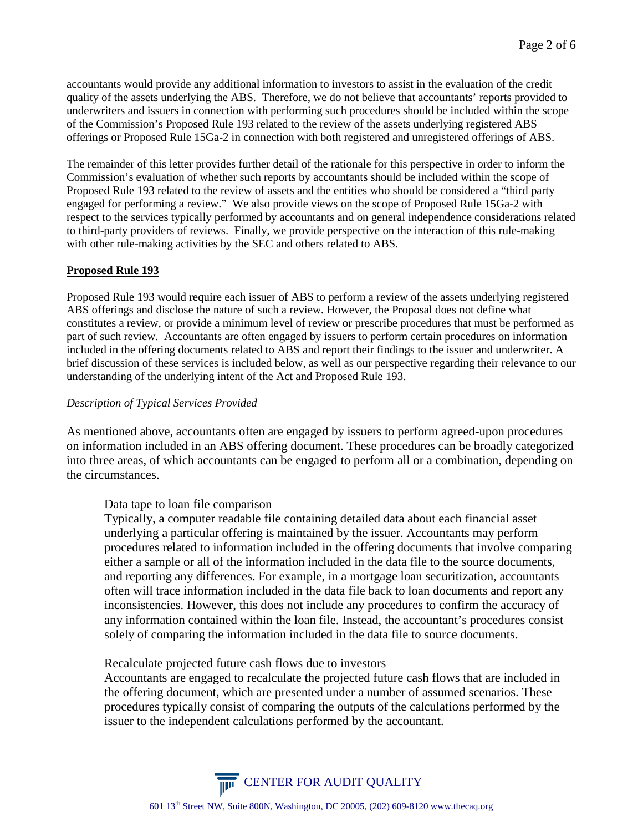accountants would provide any additional information to investors to assist in the evaluation of the credit quality of the assets underlying the ABS. Therefore, we do not believe that accountants' reports provided to underwriters and issuers in connection with performing such procedures should be included within the scope of the Commission's Proposed Rule 193 related to the review of the assets underlying registered ABS offerings or Proposed Rule 15Ga-2 in connection with both registered and unregistered offerings of ABS.

The remainder of this letter provides further detail of the rationale for this perspective in order to inform the Commission's evaluation of whether such reports by accountants should be included within the scope of Proposed Rule 193 related to the review of assets and the entities who should be considered a "third party engaged for performing a review." We also provide views on the scope of Proposed Rule 15Ga-2 with respect to the services typically performed by accountants and on general independence considerations related to third-party providers of reviews. Finally, we provide perspective on the interaction of this rule-making with other rule-making activities by the SEC and others related to ABS.

#### **Proposed Rule 193**

Proposed Rule 193 would require each issuer of ABS to perform a review of the assets underlying registered ABS offerings and disclose the nature of such a review. However, the Proposal does not define what constitutes a review, or provide a minimum level of review or prescribe procedures that must be performed as part of such review. Accountants are often engaged by issuers to perform certain procedures on information included in the offering documents related to ABS and report their findings to the issuer and underwriter. A brief discussion of these services is included below, as well as our perspective regarding their relevance to our understanding of the underlying intent of the Act and Proposed Rule 193.

#### *Description of Typical Services Provided*

As mentioned above, accountants often are engaged by issuers to perform agreed-upon procedures on information included in an ABS offering document. These procedures can be broadly categorized into three areas, of which accountants can be engaged to perform all or a combination, depending on the circumstances.

## Data tape to loan file comparison

Typically, a computer readable file containing detailed data about each financial asset underlying a particular offering is maintained by the issuer. Accountants may perform procedures related to information included in the offering documents that involve comparing either a sample or all of the information included in the data file to the source documents, and reporting any differences. For example, in a mortgage loan securitization, accountants often will trace information included in the data file back to loan documents and report any inconsistencies. However, this does not include any procedures to confirm the accuracy of any information contained within the loan file. Instead, the accountant's procedures consist solely of comparing the information included in the data file to source documents.

## Recalculate projected future cash flows due to investors

Accountants are engaged to recalculate the projected future cash flows that are included in the offering document, which are presented under a number of assumed scenarios. These procedures typically consist of comparing the outputs of the calculations performed by the issuer to the independent calculations performed by the accountant.

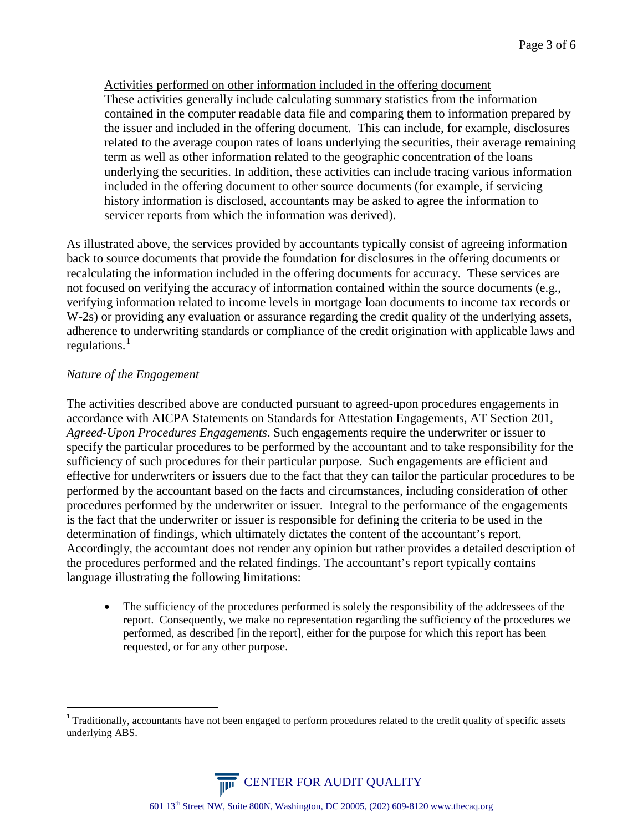Activities performed on other information included in the offering document These activities generally include calculating summary statistics from the information contained in the computer readable data file and comparing them to information prepared by the issuer and included in the offering document. This can include, for example, disclosures related to the average coupon rates of loans underlying the securities, their average remaining term as well as other information related to the geographic concentration of the loans underlying the securities. In addition, these activities can include tracing various information included in the offering document to other source documents (for example, if servicing history information is disclosed, accountants may be asked to agree the information to servicer reports from which the information was derived).

As illustrated above, the services provided by accountants typically consist of agreeing information back to source documents that provide the foundation for disclosures in the offering documents or recalculating the information included in the offering documents for accuracy. These services are not focused on verifying the accuracy of information contained within the source documents (e.g., verifying information related to income levels in mortgage loan documents to income tax records or W-2s) or providing any evaluation or assurance regarding the credit quality of the underlying assets, adherence to underwriting standards or compliance of the credit origination with applicable laws and regulations.<sup>[1](#page-2-0)</sup>

# *Nature of the Engagement*

The activities described above are conducted pursuant to agreed-upon procedures engagements in accordance with AICPA Statements on Standards for Attestation Engagements, AT Section 201, *Agreed-Upon Procedures Engagements*. Such engagements require the underwriter or issuer to specify the particular procedures to be performed by the accountant and to take responsibility for the sufficiency of such procedures for their particular purpose. Such engagements are efficient and effective for underwriters or issuers due to the fact that they can tailor the particular procedures to be performed by the accountant based on the facts and circumstances, including consideration of other procedures performed by the underwriter or issuer. Integral to the performance of the engagements is the fact that the underwriter or issuer is responsible for defining the criteria to be used in the determination of findings, which ultimately dictates the content of the accountant's report. Accordingly, the accountant does not render any opinion but rather provides a detailed description of the procedures performed and the related findings. The accountant's report typically contains language illustrating the following limitations:

• The sufficiency of the procedures performed is solely the responsibility of the addressees of the report. Consequently, we make no representation regarding the sufficiency of the procedures we performed, as described [in the report], either for the purpose for which this report has been requested, or for any other purpose.

<span id="page-2-0"></span> $1$  Traditionally, accountants have not been engaged to perform procedures related to the credit quality of specific assets underlying ABS.

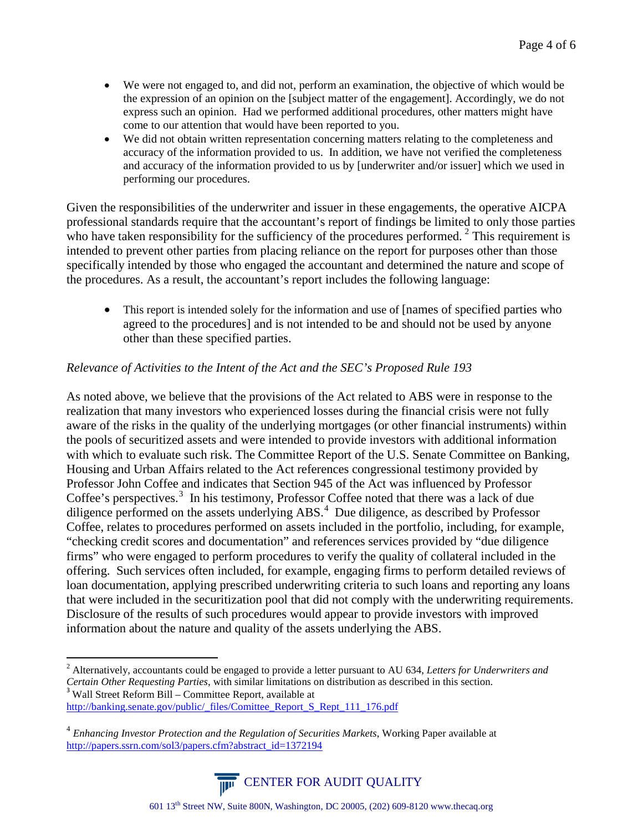- We were not engaged to, and did not, perform an examination, the objective of which would be the expression of an opinion on the [subject matter of the engagement]. Accordingly, we do not express such an opinion. Had we performed additional procedures, other matters might have come to our attention that would have been reported to you.
- We did not obtain written representation concerning matters relating to the completeness and accuracy of the information provided to us. In addition, we have not verified the completeness and accuracy of the information provided to us by [underwriter and/or issuer] which we used in performing our procedures.

Given the responsibilities of the underwriter and issuer in these engagements, the operative AICPA professional standards require that the accountant's report of findings be limited to only those parties who have taken responsibility for the sufficiency of the procedures performed.<sup>[2](#page-3-0)</sup> This requirement is intended to prevent other parties from placing reliance on the report for purposes other than those specifically intended by those who engaged the accountant and determined the nature and scope of the procedures. As a result, the accountant's report includes the following language:

• This report is intended solely for the information and use of [names of specified parties who agreed to the procedures] and is not intended to be and should not be used by anyone other than these specified parties.

# *Relevance of Activities to the Intent of the Act and the SEC's Proposed Rule 193*

As noted above, we believe that the provisions of the Act related to ABS were in response to the realization that many investors who experienced losses during the financial crisis were not fully aware of the risks in the quality of the underlying mortgages (or other financial instruments) within the pools of securitized assets and were intended to provide investors with additional information with which to evaluate such risk. The Committee Report of the U.S. Senate Committee on Banking, Housing and Urban Affairs related to the Act references congressional testimony provided by Professor John Coffee and indicates that Section 945 of the Act was influenced by Professor Coffee's perspectives.<sup>[3](#page-3-1)</sup> In his testimony, Professor Coffee noted that there was a lack of due diligence performed on the assets underlying ABS.<sup>[4](#page-3-2)</sup> Due diligence, as described by Professor Coffee, relates to procedures performed on assets included in the portfolio, including, for example, "checking credit scores and documentation" and references services provided by "due diligence firms" who were engaged to perform procedures to verify the quality of collateral included in the offering. Such services often included, for example, engaging firms to perform detailed reviews of loan documentation, applying prescribed underwriting criteria to such loans and reporting any loans that were included in the securitization pool that did not comply with the underwriting requirements. Disclosure of the results of such procedures would appear to provide investors with improved information about the nature and quality of the assets underlying the ABS.

<span id="page-3-2"></span><sup>4</sup> *Enhancing Investor Protection and the Regulation of Securities Markets*, Working Paper available at [http://papers.ssrn.com/sol3/papers.cfm?abstract\\_id=1372194](http://papers.ssrn.com/sol3/papers.cfm?abstract_id=1372194)



<span id="page-3-1"></span><span id="page-3-0"></span> <sup>2</sup> Alternatively, accountants could be engaged to provide a letter pursuant to AU 634, *Letters for Underwriters and Certain Other Requesting Parties*, with similar limitations on distribution as described in this section. <sup>3</sup> Wall Street Reform Bill – Committee Report, available at [http://banking.senate.gov/public/\\_files/Comittee\\_Report\\_S\\_Rept\\_111\\_176.pdf](http://banking.senate.gov/public/_files/Comittee_Report_S_Rept_111_176.pdf)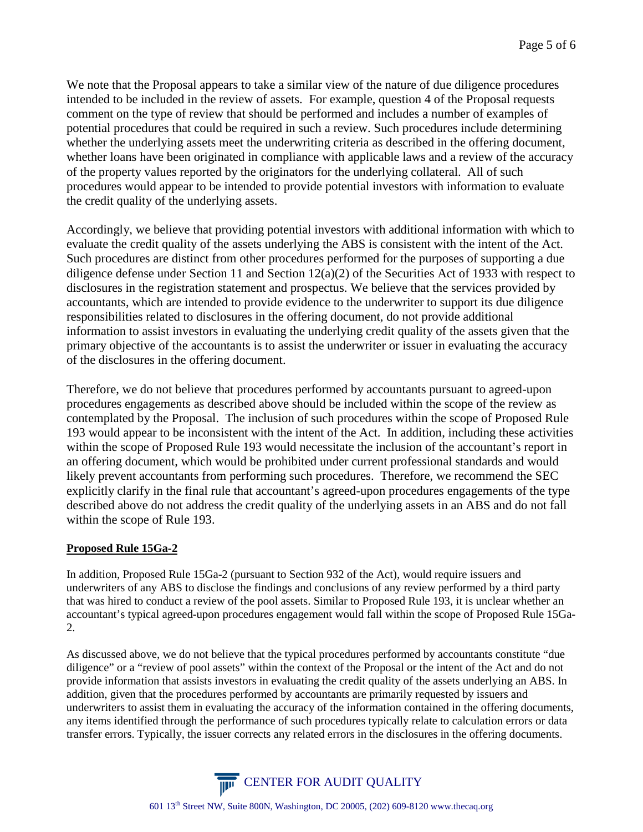We note that the Proposal appears to take a similar view of the nature of due diligence procedures intended to be included in the review of assets. For example, question 4 of the Proposal requests comment on the type of review that should be performed and includes a number of examples of potential procedures that could be required in such a review. Such procedures include determining whether the underlying assets meet the underwriting criteria as described in the offering document, whether loans have been originated in compliance with applicable laws and a review of the accuracy of the property values reported by the originators for the underlying collateral. All of such procedures would appear to be intended to provide potential investors with information to evaluate the credit quality of the underlying assets.

Accordingly, we believe that providing potential investors with additional information with which to evaluate the credit quality of the assets underlying the ABS is consistent with the intent of the Act. Such procedures are distinct from other procedures performed for the purposes of supporting a due diligence defense under Section 11 and Section 12(a)(2) of the Securities Act of 1933 with respect to disclosures in the registration statement and prospectus. We believe that the services provided by accountants, which are intended to provide evidence to the underwriter to support its due diligence responsibilities related to disclosures in the offering document, do not provide additional information to assist investors in evaluating the underlying credit quality of the assets given that the primary objective of the accountants is to assist the underwriter or issuer in evaluating the accuracy of the disclosures in the offering document.

Therefore, we do not believe that procedures performed by accountants pursuant to agreed-upon procedures engagements as described above should be included within the scope of the review as contemplated by the Proposal. The inclusion of such procedures within the scope of Proposed Rule 193 would appear to be inconsistent with the intent of the Act. In addition, including these activities within the scope of Proposed Rule 193 would necessitate the inclusion of the accountant's report in an offering document, which would be prohibited under current professional standards and would likely prevent accountants from performing such procedures. Therefore, we recommend the SEC explicitly clarify in the final rule that accountant's agreed-upon procedures engagements of the type described above do not address the credit quality of the underlying assets in an ABS and do not fall within the scope of Rule 193.

## **Proposed Rule 15Ga-2**

In addition, Proposed Rule 15Ga-2 (pursuant to Section 932 of the Act), would require issuers and underwriters of any ABS to disclose the findings and conclusions of any review performed by a third party that was hired to conduct a review of the pool assets. Similar to Proposed Rule 193, it is unclear whether an accountant's typical agreed-upon procedures engagement would fall within the scope of Proposed Rule 15Ga-2.

As discussed above, we do not believe that the typical procedures performed by accountants constitute "due diligence" or a "review of pool assets" within the context of the Proposal or the intent of the Act and do not provide information that assists investors in evaluating the credit quality of the assets underlying an ABS. In addition, given that the procedures performed by accountants are primarily requested by issuers and underwriters to assist them in evaluating the accuracy of the information contained in the offering documents, any items identified through the performance of such procedures typically relate to calculation errors or data transfer errors. Typically, the issuer corrects any related errors in the disclosures in the offering documents.